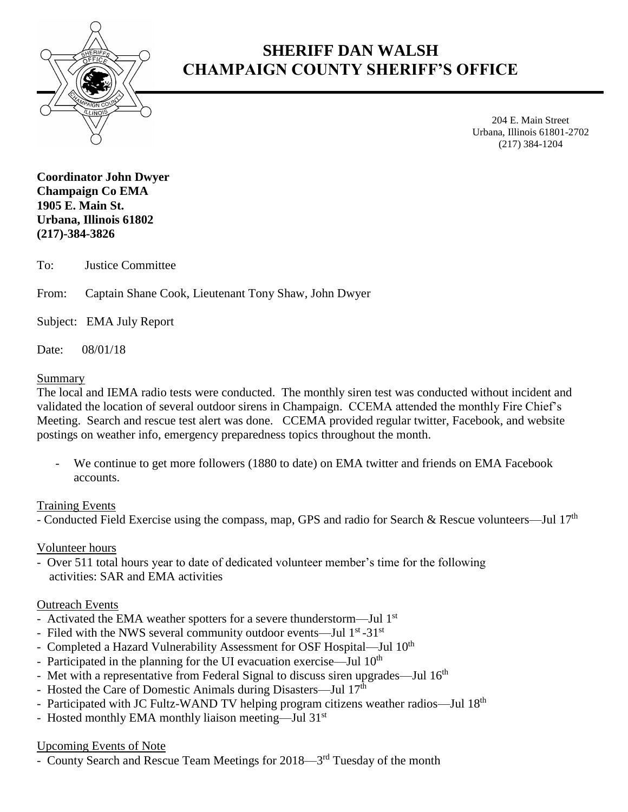

# **SHERIFF DAN WALSH CHAMPAIGN COUNTY SHERIFF'S OFFICE**

204 E. Main Street Urbana, Illinois 61801-2702 (217) 384-1204

**Coordinator John Dwyer Champaign Co EMA 1905 E. Main St. Urbana, Illinois 61802 (217)-384-3826**

To: Justice Committee

From: Captain Shane Cook, Lieutenant Tony Shaw, John Dwyer

Subject: EMA July Report

Date: 08/01/18

### Summary

The local and IEMA radio tests were conducted. The monthly siren test was conducted without incident and validated the location of several outdoor sirens in Champaign. CCEMA attended the monthly Fire Chief's Meeting. Search and rescue test alert was done. CCEMA provided regular twitter, Facebook, and website postings on weather info, emergency preparedness topics throughout the month.

We continue to get more followers (1880 to date) on EMA twitter and friends on EMA Facebook accounts.

## Training Events

- Conducted Field Exercise using the compass, map, GPS and radio for Search & Rescue volunteers—Jul  $17<sup>th</sup>$ 

## Volunteer hours

- Over 511 total hours year to date of dedicated volunteer member's time for the following activities: SAR and EMA activities

## Outreach Events

- Activated the EMA weather spotters for a severe thunderstorm—Jul 1<sup>st</sup>
- Filed with the NWS several community outdoor events—Jul 1<sup>st</sup>-31<sup>st</sup>
- Completed a Hazard Vulnerability Assessment for OSF Hospital—Jul 10<sup>th</sup>
- Participated in the planning for the UI evacuation exercise—Jul 10<sup>th</sup>
- Met with a representative from Federal Signal to discuss siren upgrades—Jul 16<sup>th</sup>
- Hosted the Care of Domestic Animals during Disasters—Jul 17<sup>th</sup>
- Participated with JC Fultz-WAND TV helping program citizens weather radios—Jul 18<sup>th</sup>
- Hosted monthly EMA monthly liaison meeting—Jul 31<sup>st</sup>

## Upcoming Events of Note

- County Search and Rescue Team Meetings for 2018—3<sup>rd</sup> Tuesday of the month